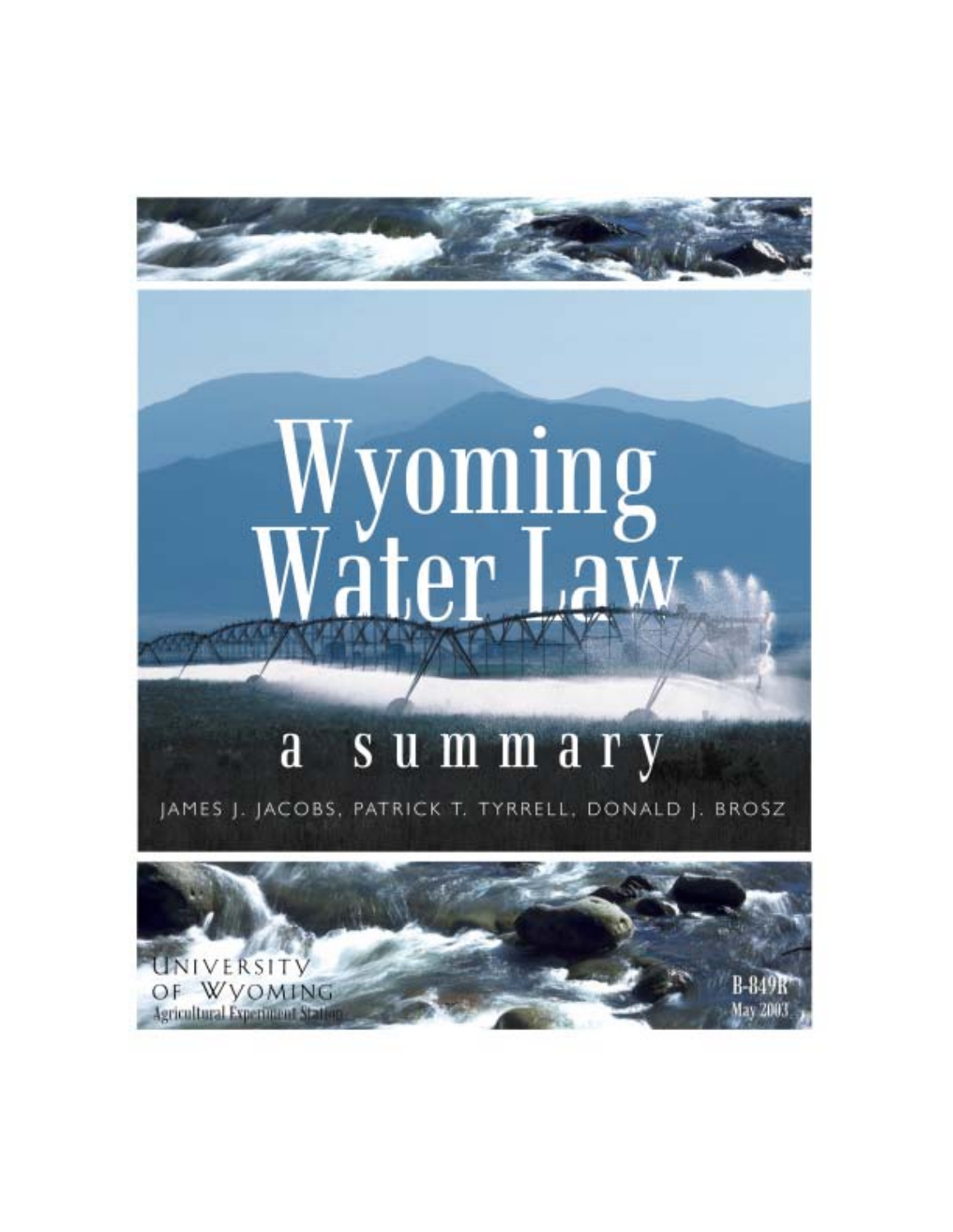

# voming<br>ter Law

# summary a

JAMES J. JACOBS, PATRICK T. TYRRELL, DONALD J. BROSZ

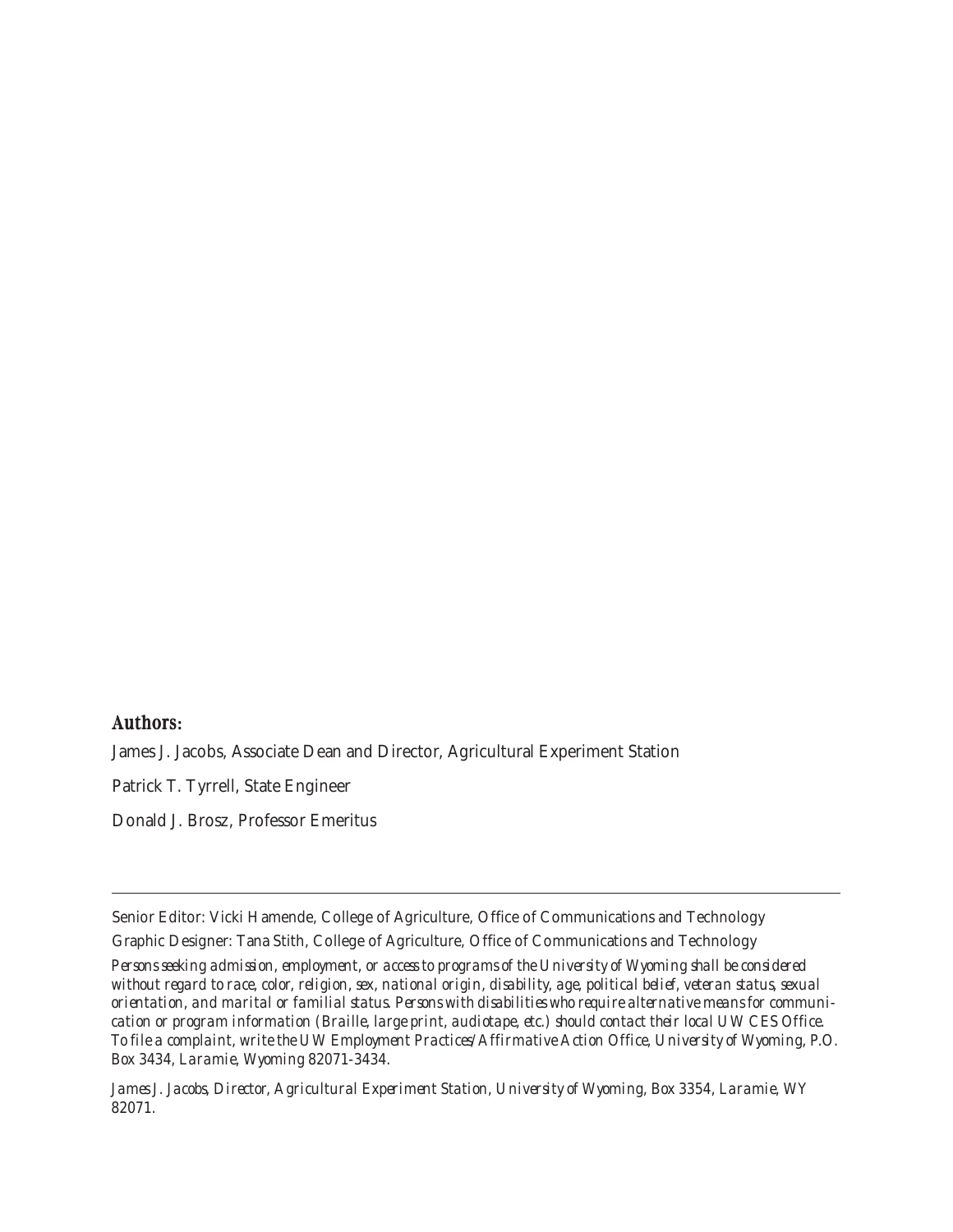#### Authors:

James J. Jacobs, Associate Dean and Director, Agricultural Experiment Station

Patrick T. Tyrrell, State Engineer

Donald J. Brosz, Professor Emeritus

Senior Editor: Vicki Hamende, College of Agriculture, Office of Communications and Technology Graphic Designer: Tana Stith, College of Agriculture, Office of Communications and Technology

*Persons seeking admission, employment, or access to programs of the University of Wyoming shall be considered without regard to race, color, religion, sex, national origin, disability, age, political belief, veteran status, sexual orientation, and marital or familial status. Persons with disabilities who require alternative means for communication or program information (Braille, large print, audiotape, etc.) should contact their local UW CES Office. To file a complaint, write the UW Employment Practices/Affirmative Action Office, University of Wyoming, P.O. Box 3434, Laramie, Wyoming 82071-3434.*

*James J. Jacobs, Director, Agricultural Experiment Station, University of Wyoming, Box 3354, Laramie, WY 82071.*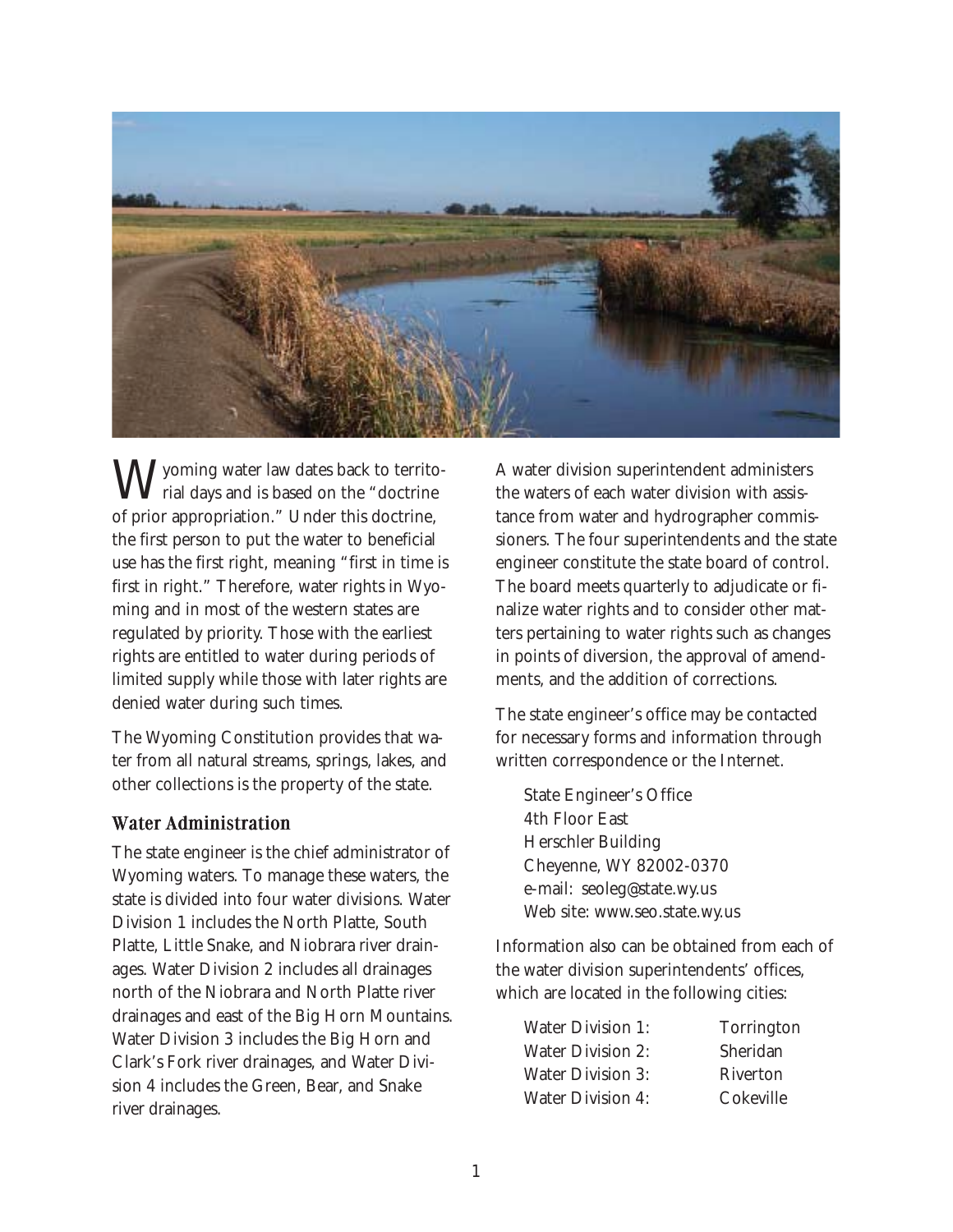

 $\overline{M}$  Jyoming water law dates back to territorial days and is based on the "doctrine of prior appropriation." Under this doctrine, the first person to put the water to beneficial use has the first right, meaning "first in time is first in right." Therefore, water rights in Wyoming and in most of the western states are regulated by priority. Those with the earliest rights are entitled to water during periods of limited supply while those with later rights are denied water during such times.

The Wyoming Constitution provides that water from all natural streams, springs, lakes, and other collections is the property of the state.

#### Water Administration

The state engineer is the chief administrator of Wyoming waters. To manage these waters, the state is divided into four water divisions. Water Division 1 includes the North Platte, South Platte, Little Snake, and Niobrara river drainages. Water Division 2 includes all drainages north of the Niobrara and North Platte river drainages and east of the Big Horn Mountains. Water Division 3 includes the Big Horn and Clark's Fork river drainages, and Water Division 4 includes the Green, Bear, and Snake river drainages.

A water division superintendent administers the waters of each water division with assistance from water and hydrographer commissioners. The four superintendents and the state engineer constitute the state board of control. The board meets quarterly to adjudicate or finalize water rights and to consider other matters pertaining to water rights such as changes in points of diversion, the approval of amendments, and the addition of corrections.

The state engineer's office may be contacted for necessary forms and information through written correspondence or the Internet.

State Engineer's Office 4th Floor East Herschler Building Cheyenne, WY 82002-0370 e-mail: seoleg@state.wy.us Web site: www.seo.state.wy.us

Information also can be obtained from each of the water division superintendents' offices, which are located in the following cities:

| <b>Water Division 1:</b> | Torrington |
|--------------------------|------------|
| <b>Water Division 2:</b> | Sheridan   |
| <b>Water Division 3:</b> | Riverton   |
| <b>Water Division 4:</b> | Cokeville  |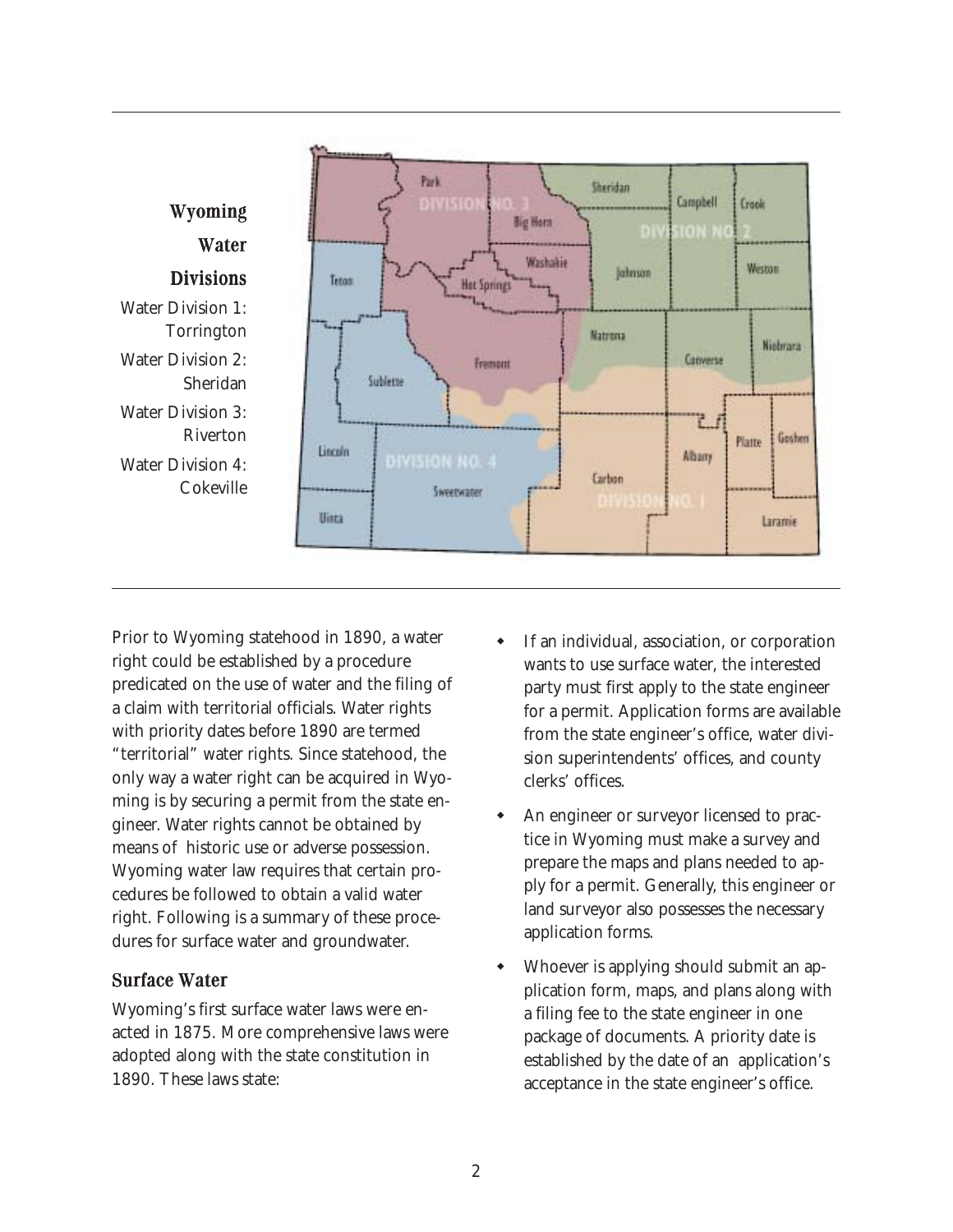

Prior to Wyoming statehood in 1890, a water right could be established by a procedure predicated on the use of water and the filing of a claim with territorial officials. Water rights with priority dates before 1890 are termed "territorial" water rights. Since statehood, the only way a water right can be acquired in Wyoming is by securing a permit from the state engineer. Water rights cannot be obtained by means of historic use or adverse possession. Wyoming water law requires that certain procedures be followed to obtain a valid water right. Following is a summary of these procedures for surface water and groundwater.

#### **Surface Water**

Wyoming's first surface water laws were enacted in 1875. More comprehensive laws were adopted along with the state constitution in 1890. These laws state:

- If an individual, association, or corporation wants to use surface water, the interested party must first apply to the state engineer for a permit. Application forms are available from the state engineer's office, water division superintendents' offices, and county clerks' offices.
- An engineer or surveyor licensed to practice in Wyoming must make a survey and prepare the maps and plans needed to apply for a permit. Generally, this engineer or land surveyor also possesses the necessary application forms.
- ! Whoever is applying should submit an application form, maps, and plans along with a filing fee to the state engineer in one package of documents. A priority date is established by the date of an application's acceptance in the state engineer's office.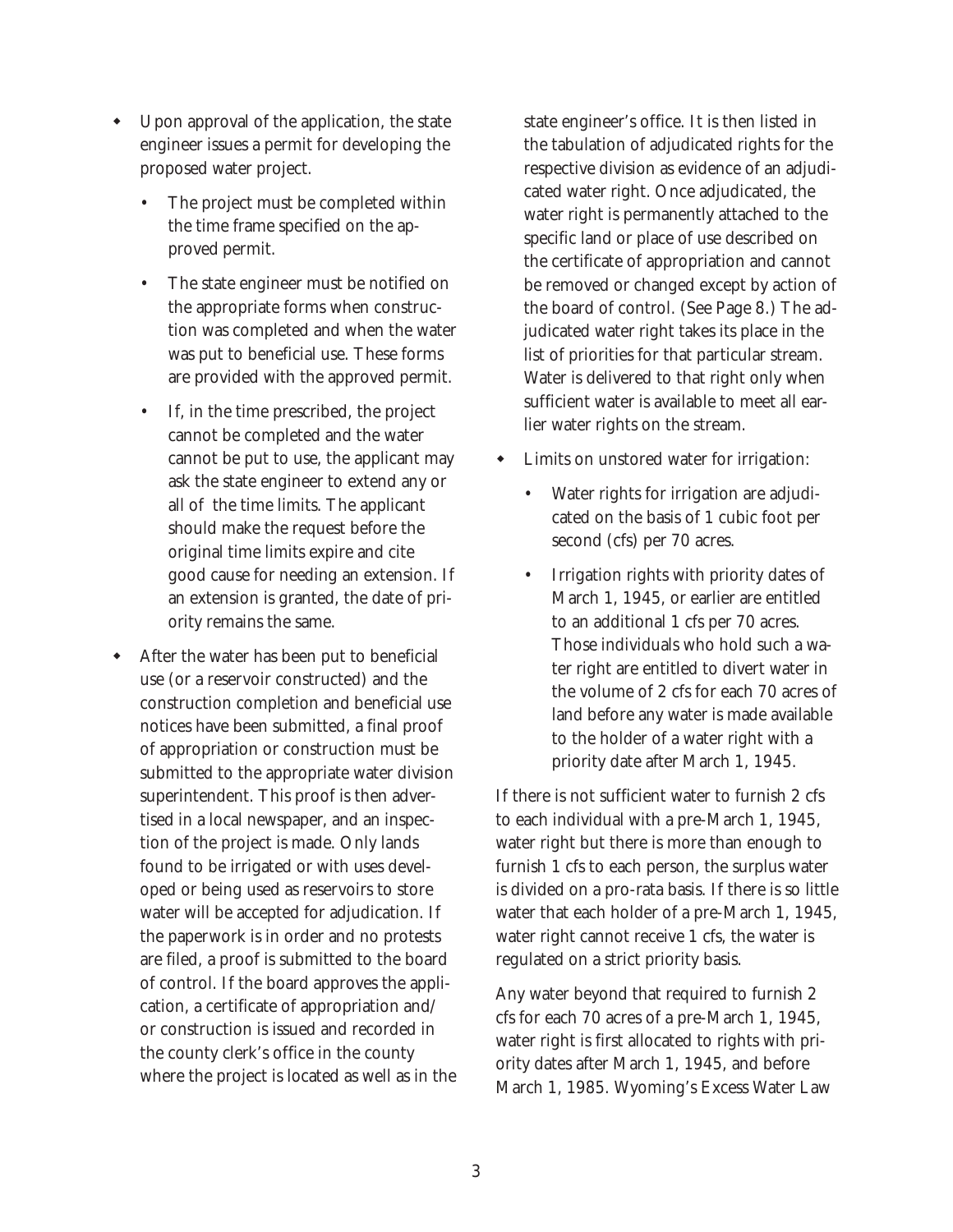- ! Upon approval of the application, the state engineer issues a permit for developing the proposed water project.
	- The project must be completed within the time frame specified on the approved permit.
	- The state engineer must be notified on the appropriate forms when construction was completed and when the water was put to beneficial use. These forms are provided with the approved permit.
	- If, in the time prescribed, the project cannot be completed and the water cannot be put to use, the applicant may ask the state engineer to extend any or all of the time limits. The applicant should make the request before the original time limits expire and cite good cause for needing an extension. If an extension is granted, the date of priority remains the same.
- ! After the water has been put to beneficial use (or a reservoir constructed) and the construction completion and beneficial use notices have been submitted, a final proof of appropriation or construction must be submitted to the appropriate water division superintendent. This proof is then advertised in a local newspaper, and an inspection of the project is made. Only lands found to be irrigated or with uses developed or being used as reservoirs to store water will be accepted for adjudication. If the paperwork is in order and no protests are filed, a proof is submitted to the board of control. If the board approves the application, a certificate of appropriation and/ or construction is issued and recorded in the county clerk's office in the county where the project is located as well as in the

state engineer's office. It is then listed in the tabulation of adjudicated rights for the respective division as evidence of an adjudicated water right. Once adjudicated, the water right is permanently attached to the specific land or place of use described on the certificate of appropriation and cannot be removed or changed except by action of the board of control. (See Page 8.) The adjudicated water right takes its place in the list of priorities for that particular stream. Water is delivered to that right only when sufficient water is available to meet all earlier water rights on the stream.

- Limits on unstored water for irrigation:
	- Water rights for irrigation are adjudicated on the basis of 1 cubic foot per second (cfs) per 70 acres.
	- Irrigation rights with priority dates of March 1, 1945, or earlier are entitled to an additional 1 cfs per 70 acres. Those individuals who hold such a water right are entitled to divert water in the volume of 2 cfs for each 70 acres of land before any water is made available to the holder of a water right with a priority date after March 1, 1945.

If there is not sufficient water to furnish 2 cfs to each individual with a pre-March 1, 1945, water right but there is more than enough to furnish 1 cfs to each person, the surplus water is divided on a pro-rata basis. If there is so little water that each holder of a pre-March 1, 1945, water right cannot receive 1 cfs, the water is regulated on a strict priority basis.

Any water beyond that required to furnish 2 cfs for each 70 acres of a pre-March 1, 1945, water right is first allocated to rights with priority dates after March 1, 1945, and before March 1, 1985. Wyoming's Excess Water Law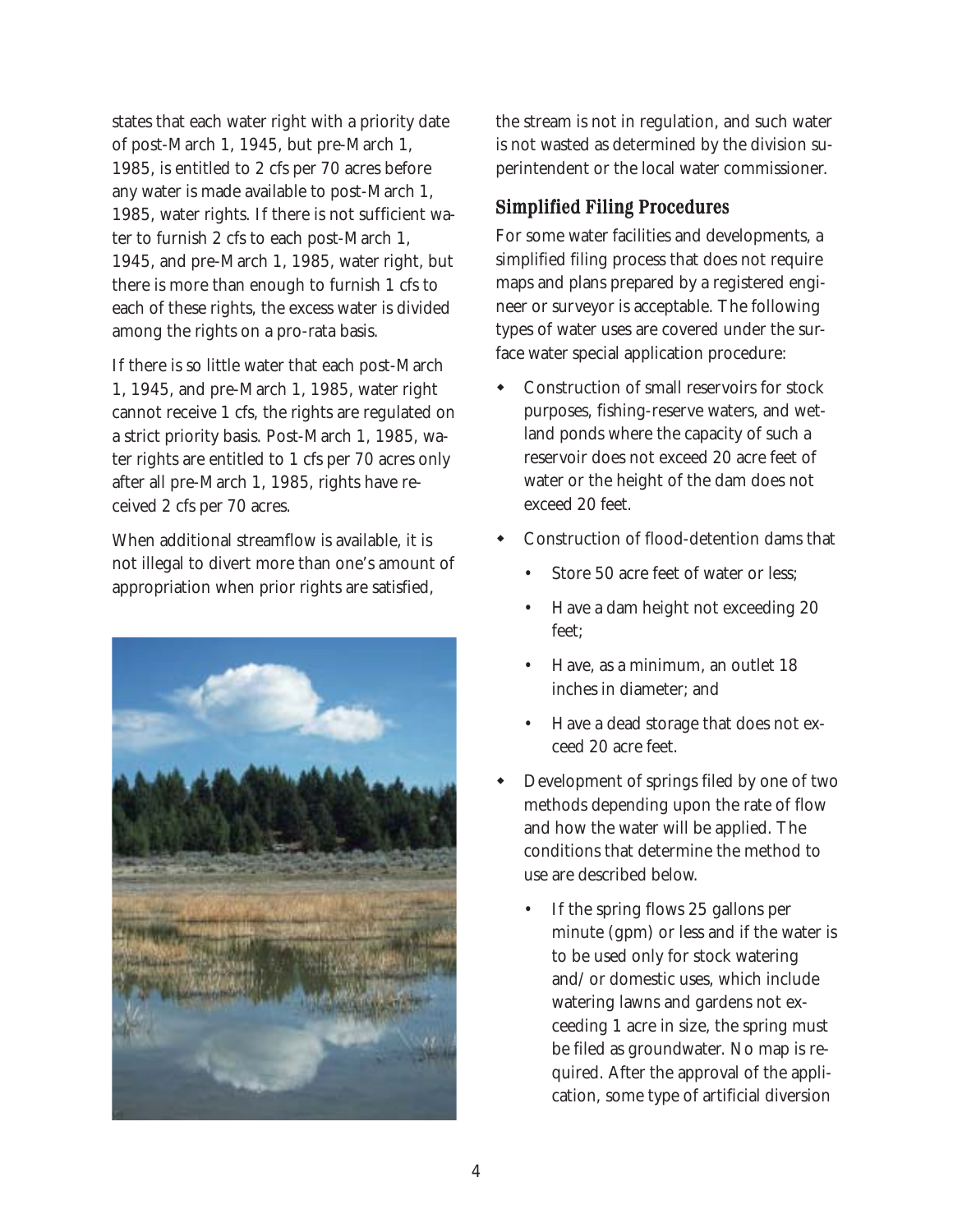states that each water right with a priority date of post-March 1, 1945, but pre-March 1, 1985, is entitled to 2 cfs per 70 acres before any water is made available to post-March 1, 1985, water rights. If there is not sufficient water to furnish 2 cfs to each post-March 1, 1945, and pre-March 1, 1985, water right, but there is more than enough to furnish 1 cfs to each of these rights, the excess water is divided among the rights on a pro-rata basis.

If there is so little water that each post-March 1, 1945, and pre-March 1, 1985, water right cannot receive 1 cfs, the rights are regulated on a strict priority basis. Post-March 1, 1985, water rights are entitled to 1 cfs per 70 acres only after all pre-March 1, 1985, rights have received 2 cfs per 70 acres.

When additional streamflow is available, it is not illegal to divert more than one's amount of appropriation when prior rights are satisfied,



the stream is not in regulation, and such water is not wasted as determined by the division superintendent or the local water commissioner.

# Simplified Filing Procedures

For some water facilities and developments, a simplified filing process that does not require maps and plans prepared by a registered engineer or surveyor is acceptable. The following types of water uses are covered under the surface water special application procedure:

- ! Construction of small reservoirs for stock purposes, fishing-reserve waters, and wetland ponds where the capacity of such a reservoir does not exceed 20 acre feet of water or the height of the dam does not exceed 20 feet.
- ! Construction of flood-detention dams that
	- Store 50 acre feet of water or less:
	- Have a dam height not exceeding 20 feet;
	- Have, as a minimum, an outlet 18 inches in diameter; and
	- Have a dead storage that does not exceed 20 acre feet.
- ! Development of springs filed by one of two methods depending upon the rate of flow and how the water will be applied. The conditions that determine the method to use are described below.
	- If the spring flows 25 gallons per minute (gpm) or less and if the water is to be used only for stock watering and/or domestic uses, which include watering lawns and gardens not exceeding 1 acre in size, the spring must be filed as groundwater. No map is required. After the approval of the application, some type of artificial diversion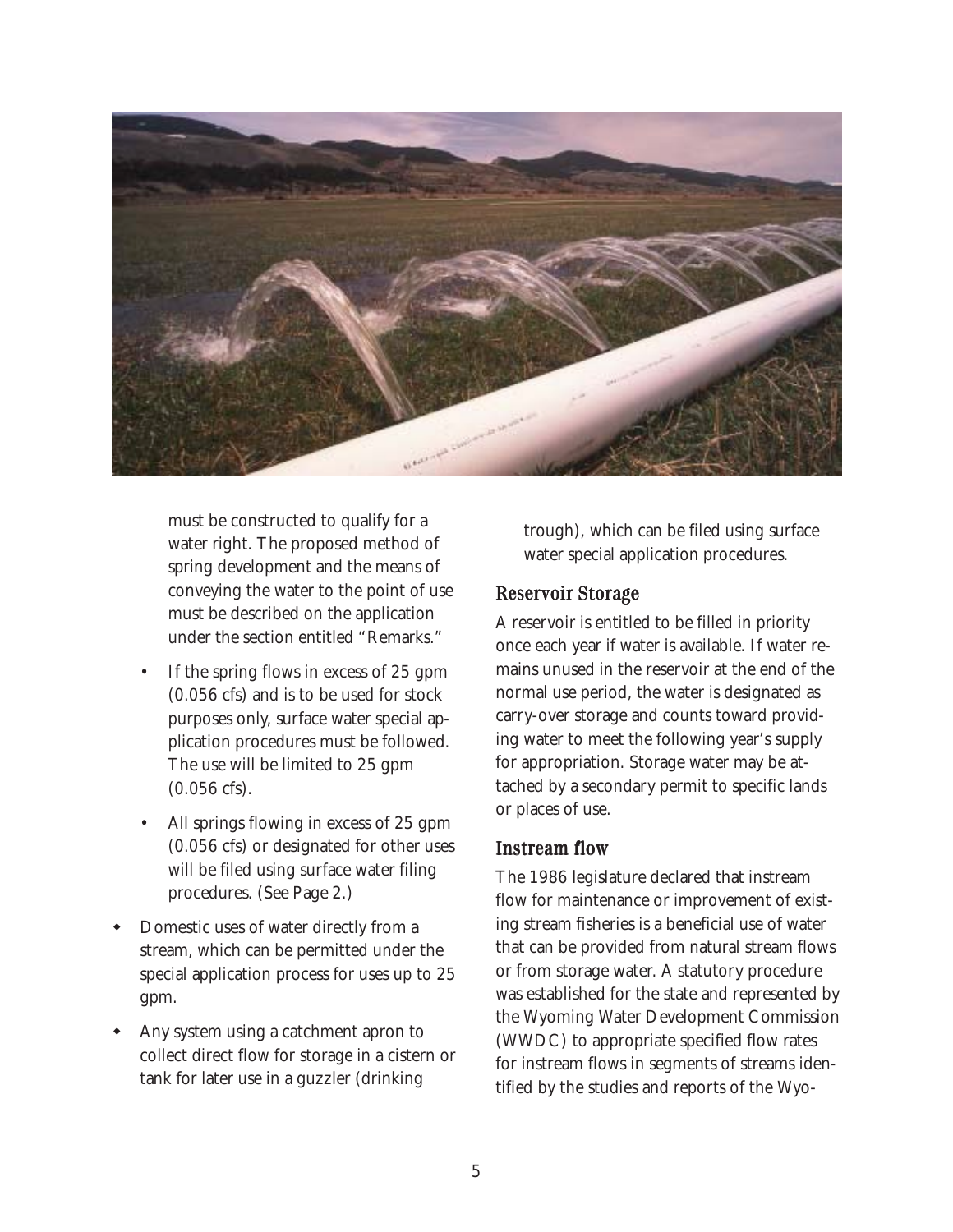

must be constructed to qualify for a water right. The proposed method of spring development and the means of conveying the water to the point of use must be described on the application under the section entitled "Remarks."

- If the spring flows in excess of 25 gpm (0.056 cfs) and is to be used for stock purposes only, surface water special application procedures must be followed. The use will be limited to 25 gpm (0.056 cfs).
- All springs flowing in excess of 25 gpm (0.056 cfs) or designated for other uses will be filed using surface water filing procedures. (See Page 2.)
- ! Domestic uses of water directly from a stream, which can be permitted under the special application process for uses up to 25 gpm.
- ! Any system using a catchment apron to collect direct flow for storage in a cistern or tank for later use in a guzzler (drinking

trough), which can be filed using surface water special application procedures.

#### Reservoir Storage

A reservoir is entitled to be filled in priority once each year if water is available. If water remains unused in the reservoir at the end of the normal use period, the water is designated as carry-over storage and counts toward providing water to meet the following year's supply for appropriation. Storage water may be attached by a secondary permit to specific lands or places of use.

#### Instream flow

The 1986 legislature declared that instream flow for maintenance or improvement of existing stream fisheries is a beneficial use of water that can be provided from natural stream flows or from storage water. A statutory procedure was established for the state and represented by the Wyoming Water Development Commission (WWDC) to appropriate specified flow rates for instream flows in segments of streams identified by the studies and reports of the Wyo-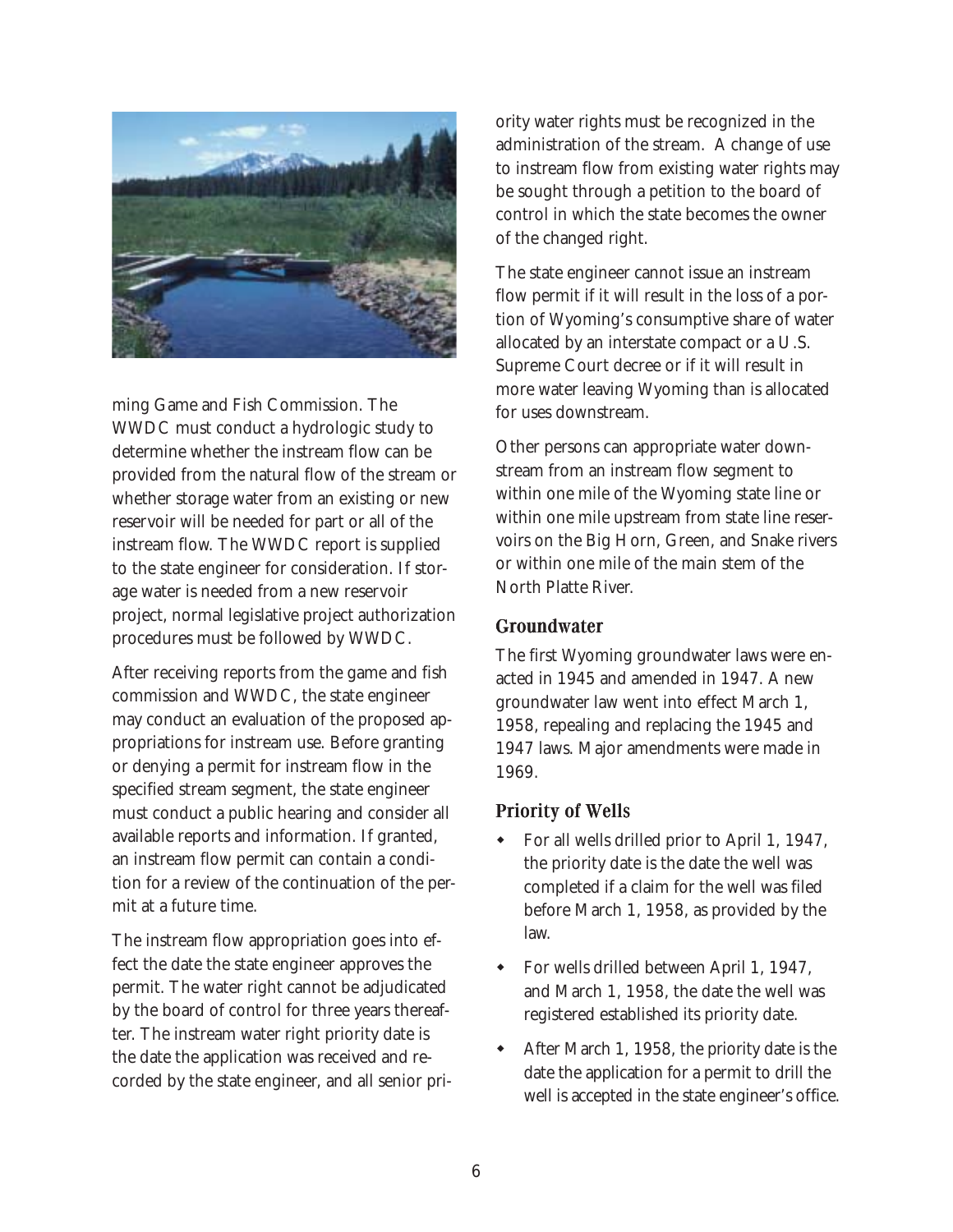

ming Game and Fish Commission. The WWDC must conduct a hydrologic study to determine whether the instream flow can be provided from the natural flow of the stream or whether storage water from an existing or new reservoir will be needed for part or all of the instream flow. The WWDC report is supplied to the state engineer for consideration. If storage water is needed from a new reservoir project, normal legislative project authorization procedures must be followed by WWDC.

After receiving reports from the game and fish commission and WWDC, the state engineer may conduct an evaluation of the proposed appropriations for instream use. Before granting or denying a permit for instream flow in the specified stream segment, the state engineer must conduct a public hearing and consider all available reports and information. If granted, an instream flow permit can contain a condition for a review of the continuation of the permit at a future time.

The instream flow appropriation goes into effect the date the state engineer approves the permit. The water right cannot be adjudicated by the board of control for three years thereafter. The instream water right priority date is the date the application was received and recorded by the state engineer, and all senior priority water rights must be recognized in the administration of the stream. A change of use to instream flow from existing water rights may be sought through a petition to the board of control in which the state becomes the owner of the changed right.

The state engineer cannot issue an instream flow permit if it will result in the loss of a portion of Wyoming's consumptive share of water allocated by an interstate compact or a U.S. Supreme Court decree or if it will result in more water leaving Wyoming than is allocated for uses downstream.

Other persons can appropriate water downstream from an instream flow segment to within one mile of the Wyoming state line or within one mile upstream from state line reservoirs on the Big Horn, Green, and Snake rivers or within one mile of the main stem of the North Platte River.

# Groundwater

The first Wyoming groundwater laws were enacted in 1945 and amended in 1947. A new groundwater law went into effect March 1, 1958, repealing and replacing the 1945 and 1947 laws. Major amendments were made in 1969.

# Priority of Wells Priority of Wells

- ! For all wells drilled prior to April 1, 1947, the priority date is the date the well was completed if a claim for the well was filed before March 1, 1958, as provided by the law.
- ! For wells drilled between April 1, 1947, and March 1, 1958, the date the well was registered established its priority date.
- ! After March 1, 1958, the priority date is the date the application for a permit to drill the well is accepted in the state engineer's office.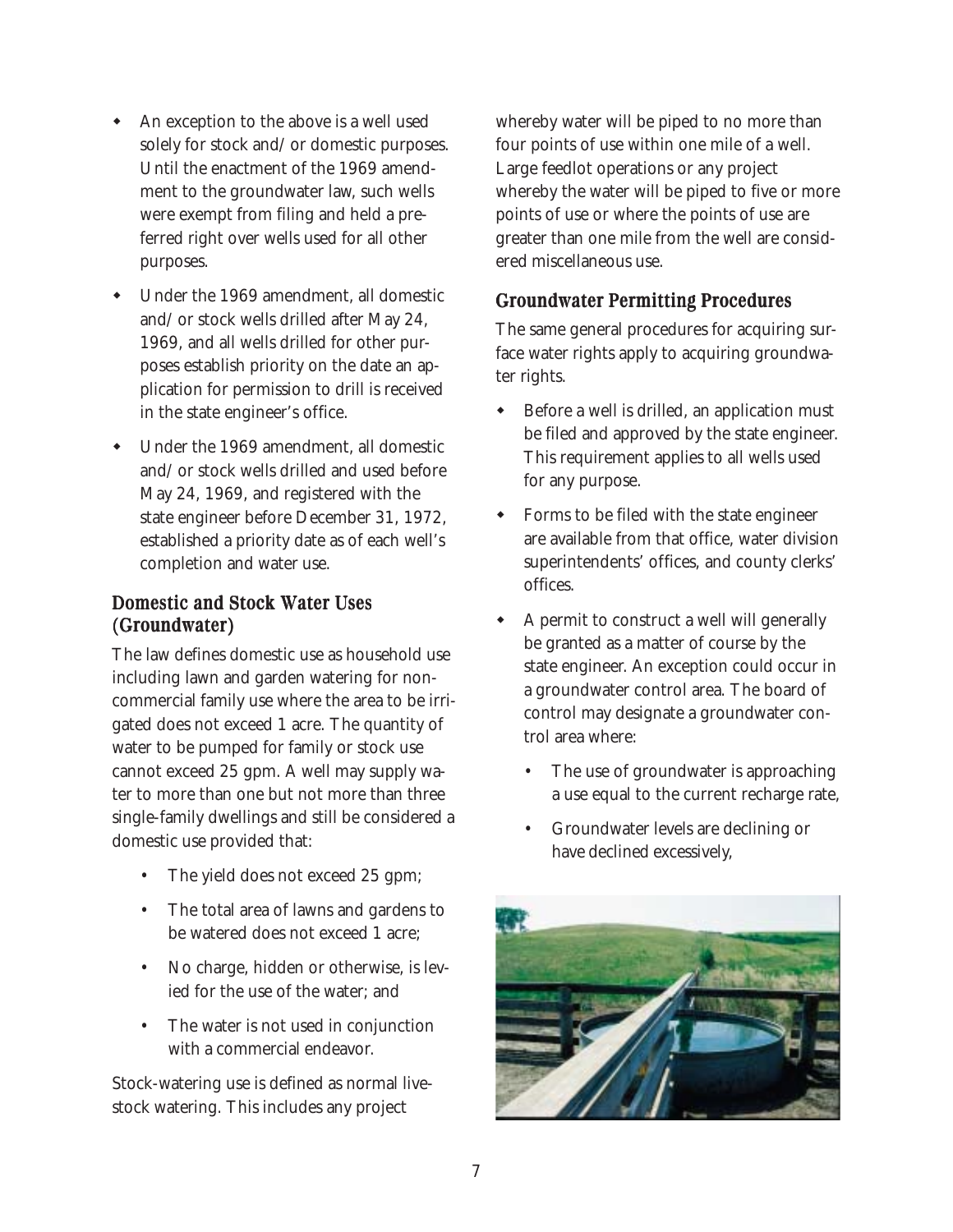- An exception to the above is a well used solely for stock and/or domestic purposes. Until the enactment of the 1969 amendment to the groundwater law, such wells were exempt from filing and held a preferred right over wells used for all other purposes.
- ! Under the 1969 amendment, all domestic and/or stock wells drilled after May 24, 1969, and all wells drilled for other purposes establish priority on the date an application for permission to drill is received in the state engineer's office.
- Under the 1969 amendment, all domestic and/or stock wells drilled and used before May 24, 1969, and registered with the state engineer before December 31, 1972, established a priority date as of each well's completion and water use.

# Domestic and Stock Water Uses (Groundwater) (Groundwater)

The law defines domestic use as household use including lawn and garden watering for noncommercial family use where the area to be irrigated does not exceed 1 acre. The quantity of water to be pumped for family or stock use cannot exceed 25 gpm. A well may supply water to more than one but not more than three single-family dwellings and still be considered a domestic use provided that:

- The yield does not exceed 25 gpm;
- The total area of lawns and gardens to be watered does not exceed 1 acre;
- No charge, hidden or otherwise, is levied for the use of the water; and
- The water is not used in conjunction with a commercial endeavor.

Stock-watering use is defined as normal livestock watering. This includes any project

whereby water will be piped to no more than four points of use within one mile of a well. Large feedlot operations or any project whereby the water will be piped to five or more points of use or where the points of use are greater than one mile from the well are considered miscellaneous use.

#### Groundwater Permitting Procedures

The same general procedures for acquiring surface water rights apply to acquiring groundwater rights.

- Before a well is drilled, an application must be filed and approved by the state engineer. This requirement applies to all wells used for any purpose.
- ! Forms to be filed with the state engineer are available from that office, water division superintendents' offices, and county clerks' offices.
- ! A permit to construct a well will generally be granted as a matter of course by the state engineer. An exception could occur in a groundwater control area. The board of control may designate a groundwater control area where:
	- The use of groundwater is approaching a use equal to the current recharge rate,
	- Groundwater levels are declining or have declined excessively,

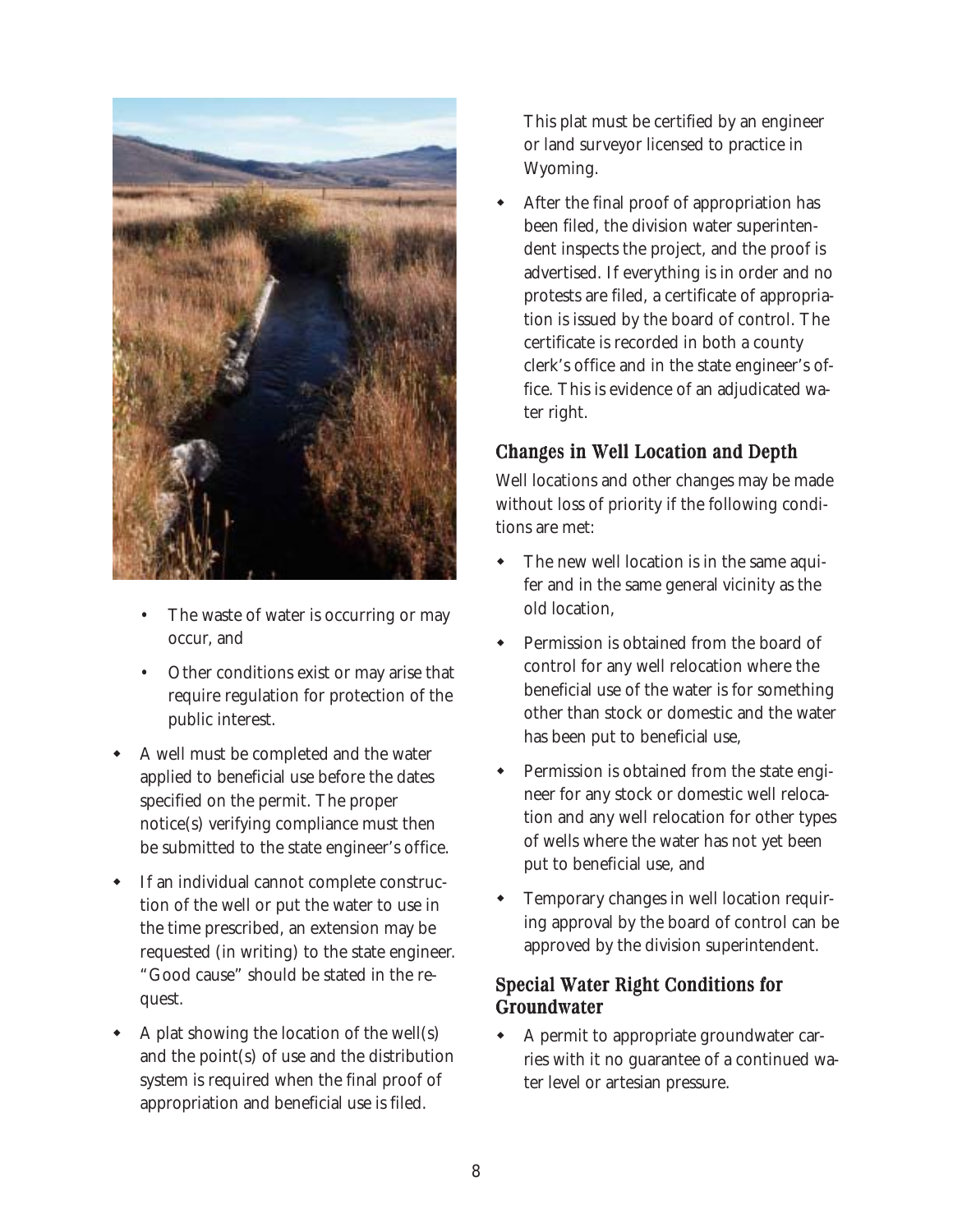

- The waste of water is occurring or may occur, and
- Other conditions exist or may arise that require regulation for protection of the public interest.
- ! A well must be completed and the water applied to beneficial use before the dates specified on the permit. The proper notice(s) verifying compliance must then be submitted to the state engineer's office.
- If an individual cannot complete construction of the well or put the water to use in the time prescribed, an extension may be requested (in writing) to the state engineer. "Good cause" should be stated in the request.
- ! A plat showing the location of the well(s) and the point(s) of use and the distribution system is required when the final proof of appropriation and beneficial use is filed.

This plat must be certified by an engineer or land surveyor licensed to practice in Wyoming.

After the final proof of appropriation has been filed, the division water superintendent inspects the project, and the proof is advertised. If everything is in order and no protests are filed, a certificate of appropriation is issued by the board of control. The certificate is recorded in both a county clerk's office and in the state engineer's office. This is evidence of an adjudicated water right.

# Changes in Well Location and Depth

Well locations and other changes may be made without loss of priority if the following conditions are met:

- The new well location is in the same aquifer and in the same general vicinity as the old location,
- Permission is obtained from the board of control for any well relocation where the beneficial use of the water is for something other than stock or domestic and the water has been put to beneficial use,
- ! Permission is obtained from the state engineer for any stock or domestic well relocation and any well relocation for other types of wells where the water has not yet been put to beneficial use, and
- ! Temporary changes in well location requiring approval by the board of control can be approved by the division superintendent.

# Special Water Right Conditions for Groundwater

! A permit to appropriate groundwater carries with it no guarantee of a continued water level or artesian pressure.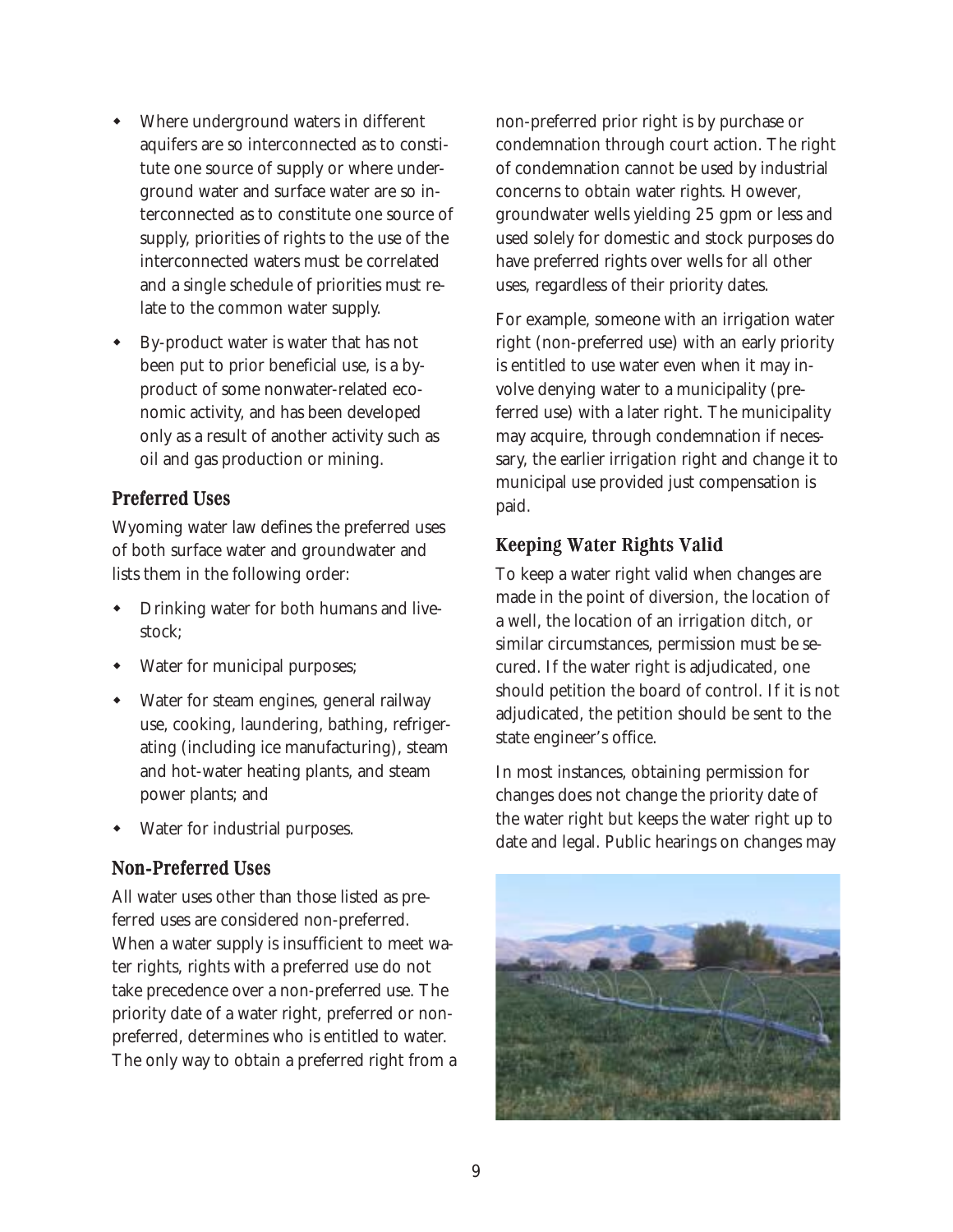- ! Where underground waters in different aquifers are so interconnected as to constitute one source of supply or where underground water and surface water are so interconnected as to constitute one source of supply, priorities of rights to the use of the interconnected waters must be correlated and a single schedule of priorities must relate to the common water supply.
- ! By-product water is water that has not been put to prior beneficial use, is a byproduct of some nonwater-related economic activity, and has been developed only as a result of another activity such as oil and gas production or mining.

#### Preferred Uses

Wyoming water law defines the preferred uses of both surface water and groundwater and lists them in the following order:

- ! Drinking water for both humans and livestock;
- ! Water for municipal purposes;
- Water for steam engines, general railway use, cooking, laundering, bathing, refrigerating (including ice manufacturing), steam and hot-water heating plants, and steam power plants; and
- Water for industrial purposes.

# Non-Preferred Uses

All water uses other than those listed as preferred uses are considered non-preferred. When a water supply is insufficient to meet water rights, rights with a preferred use do not take precedence over a non-preferred use. The priority date of a water right, preferred or nonpreferred, determines who is entitled to water. The only way to obtain a preferred right from a non-preferred prior right is by purchase or condemnation through court action. The right of condemnation cannot be used by industrial concerns to obtain water rights. However, groundwater wells yielding 25 gpm or less and used solely for domestic and stock purposes do have preferred rights over wells for all other uses, regardless of their priority dates.

For example, someone with an irrigation water right (non-preferred use) with an early priority is entitled to use water even when it may involve denying water to a municipality (preferred use) with a later right. The municipality may acquire, through condemnation if necessary, the earlier irrigation right and change it to municipal use provided just compensation is paid.

# Keeping Water Rights Valid

To keep a water right valid when changes are made in the point of diversion, the location of a well, the location of an irrigation ditch, or similar circumstances, permission must be secured. If the water right is adjudicated, one should petition the board of control. If it is not adjudicated, the petition should be sent to the state engineer's office.

In most instances, obtaining permission for changes does not change the priority date of the water right but keeps the water right up to date and legal. Public hearings on changes may

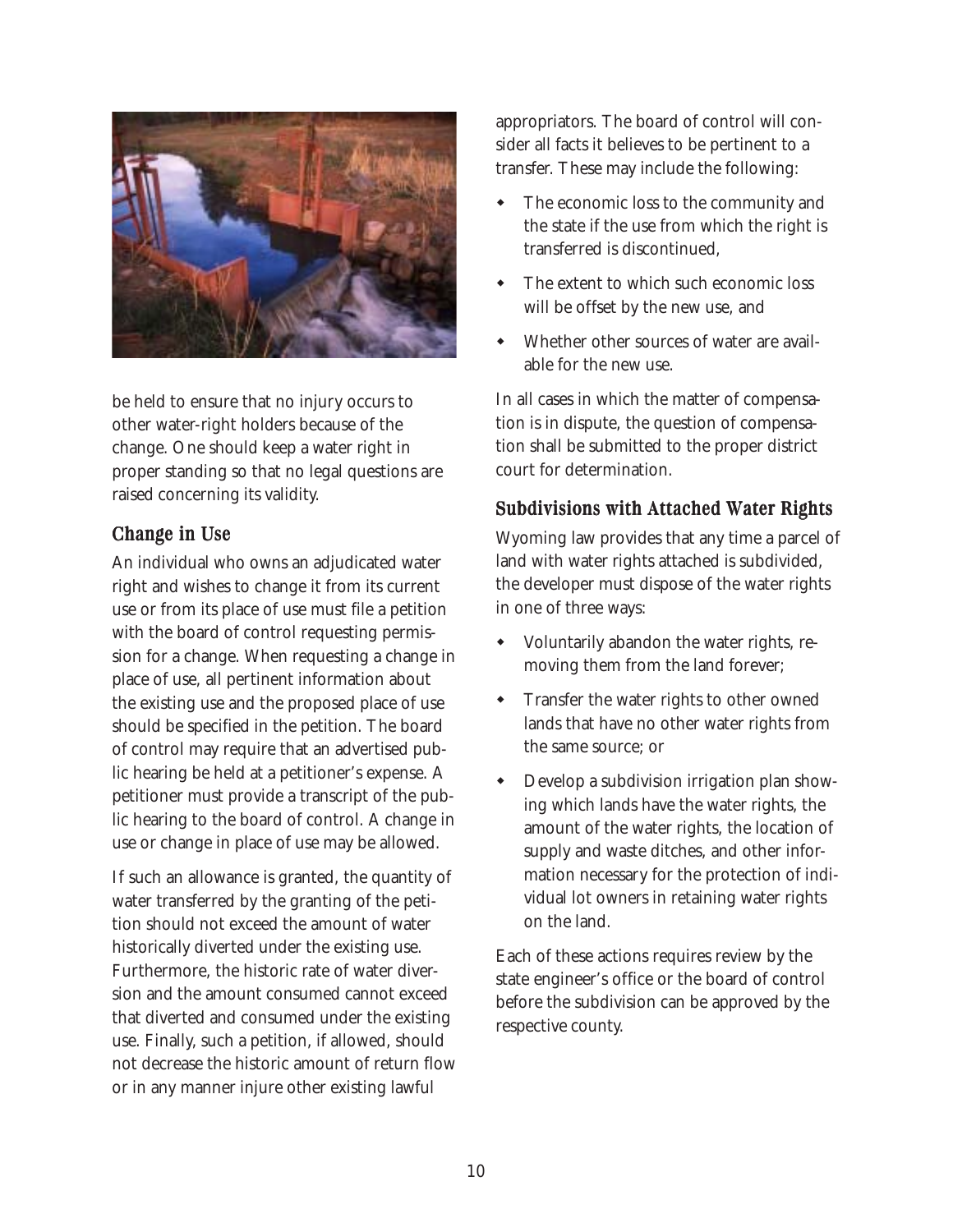

be held to ensure that no injury occurs to other water-right holders because of the change. One should keep a water right in proper standing so that no legal questions are raised concerning its validity.

### Change in Use

An individual who owns an adjudicated water right and wishes to change it from its current use or from its place of use must file a petition with the board of control requesting permission for a change. When requesting a change in place of use, all pertinent information about the existing use and the proposed place of use should be specified in the petition. The board of control may require that an advertised public hearing be held at a petitioner's expense. A petitioner must provide a transcript of the public hearing to the board of control. A change in use or change in place of use may be allowed.

If such an allowance is granted, the quantity of water transferred by the granting of the petition should not exceed the amount of water historically diverted under the existing use. Furthermore, the historic rate of water diversion and the amount consumed cannot exceed that diverted and consumed under the existing use. Finally, such a petition, if allowed, should not decrease the historic amount of return flow or in any manner injure other existing lawful

appropriators. The board of control will consider all facts it believes to be pertinent to a transfer. These may include the following:

- The economic loss to the community and the state if the use from which the right is transferred is discontinued,
- ! The extent to which such economic loss will be offset by the new use, and
- Whether other sources of water are available for the new use.

In all cases in which the matter of compensation is in dispute, the question of compensation shall be submitted to the proper district court for determination.

### Subdivisions with Attached Water Rights

Wyoming law provides that any time a parcel of land with water rights attached is subdivided, the developer must dispose of the water rights in one of three ways:

- ! Voluntarily abandon the water rights, removing them from the land forever;
- Transfer the water rights to other owned lands that have no other water rights from the same source; or
- Develop a subdivision irrigation plan showing which lands have the water rights, the amount of the water rights, the location of supply and waste ditches, and other information necessary for the protection of individual lot owners in retaining water rights on the land.

Each of these actions requires review by the state engineer's office or the board of control before the subdivision can be approved by the respective county.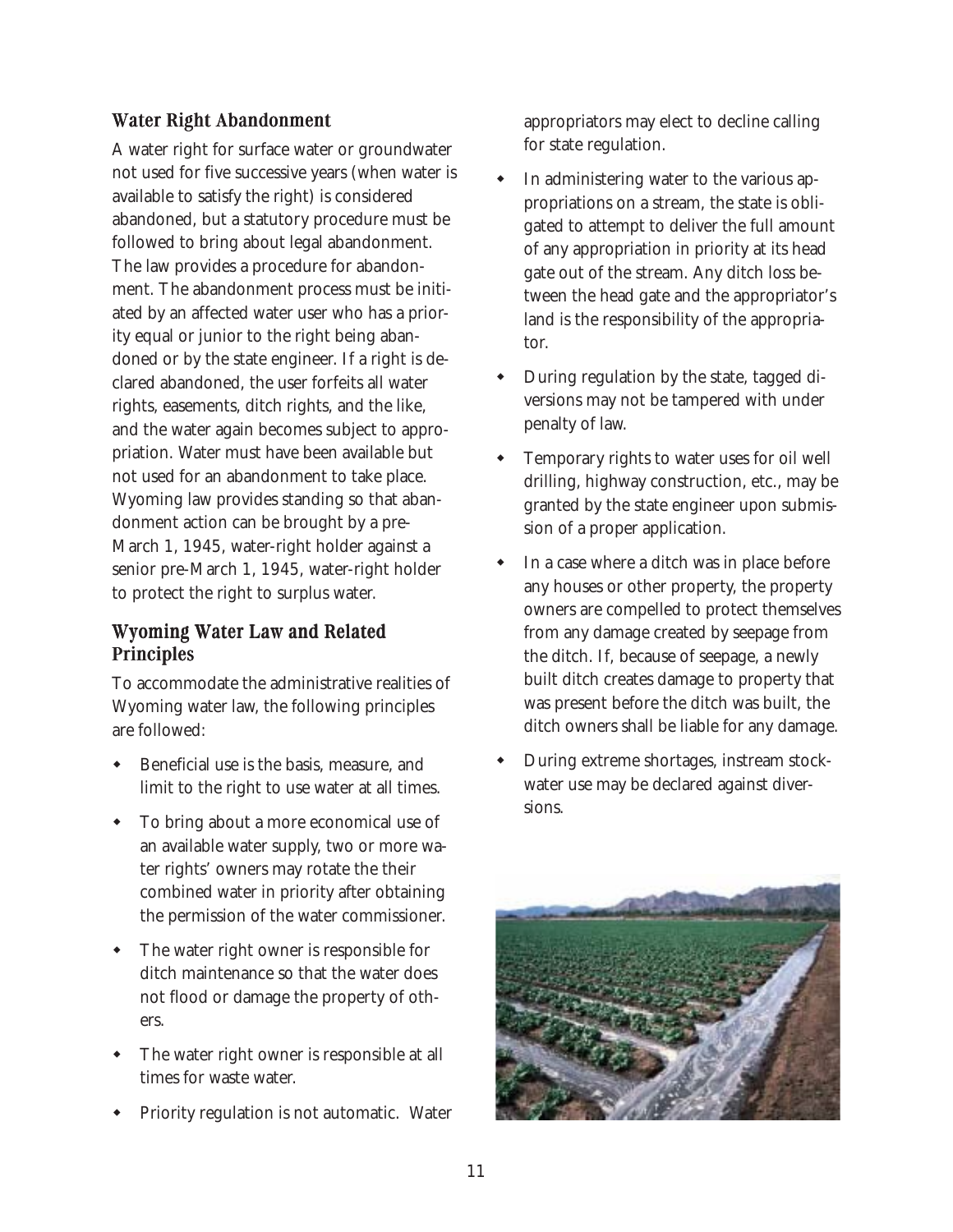#### Water Right Abandonment

A water right for surface water or groundwater not used for five successive years (when water is available to satisfy the right) is considered abandoned, but a statutory procedure must be followed to bring about legal abandonment. The law provides a procedure for abandonment. The abandonment process must be initiated by an affected water user who has a priority equal or junior to the right being abandoned or by the state engineer. If a right is declared abandoned, the user forfeits all water rights, easements, ditch rights, and the like, and the water again becomes subject to appropriation. Water must have been available but not used for an abandonment to take place. Wyoming law provides standing so that abandonment action can be brought by a pre-March 1, 1945, water-right holder against a senior pre-March 1, 1945, water-right holder to protect the right to surplus water.

# Wyoming Water Law and Related Principles

To accommodate the administrative realities of Wyoming water law, the following principles are followed:

- Beneficial use is the basis, measure, and limit to the right to use water at all times.
- To bring about a more economical use of an available water supply, two or more water rights' owners may rotate the their combined water in priority after obtaining the permission of the water commissioner.
- ! The water right owner is responsible for ditch maintenance so that the water does not flood or damage the property of others.
- ! The water right owner is responsible at all times for waste water.
- Priority regulation is not automatic. Water

appropriators may elect to decline calling for state regulation.

- In administering water to the various appropriations on a stream, the state is obligated to attempt to deliver the full amount of any appropriation in priority at its head gate out of the stream. Any ditch loss between the head gate and the appropriator's land is the responsibility of the appropriator.
- ! During regulation by the state, tagged diversions may not be tampered with under penalty of law.
- ! Temporary rights to water uses for oil well drilling, highway construction, etc., may be granted by the state engineer upon submission of a proper application.
- In a case where a ditch was in place before any houses or other property, the property owners are compelled to protect themselves from any damage created by seepage from the ditch. If, because of seepage, a newly built ditch creates damage to property that was present before the ditch was built, the ditch owners shall be liable for any damage.
- ! During extreme shortages, instream stockwater use may be declared against diversions.

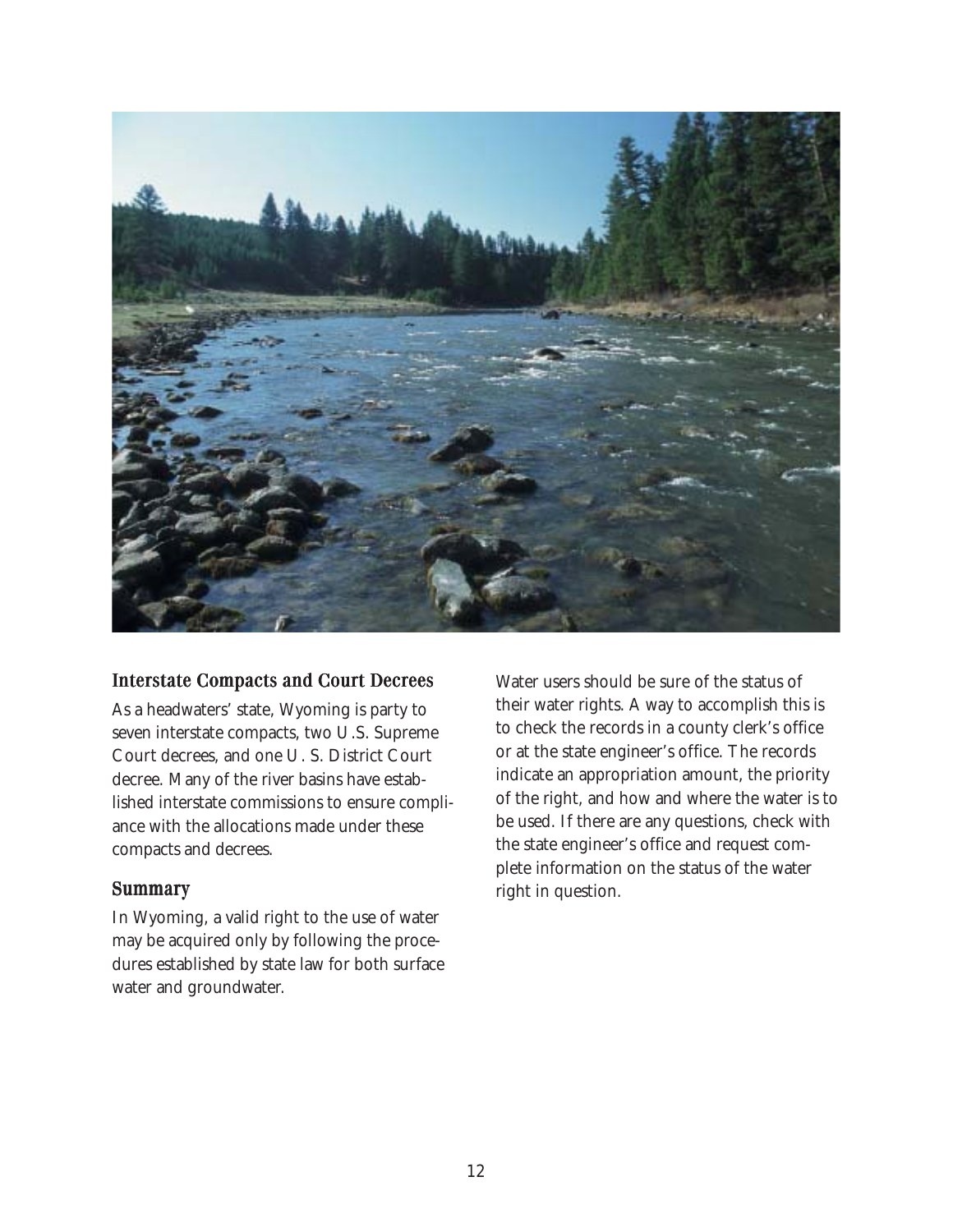

#### Interstate Compacts and Court Decrees

As a headwaters' state, Wyoming is party to seven interstate compacts, two U.S. Supreme Court decrees, and one U. S. District Court decree. Many of the river basins have established interstate commissions to ensure compliance with the allocations made under these compacts and decrees.

#### Summary

In Wyoming, a valid right to the use of water may be acquired only by following the procedures established by state law for both surface water and groundwater.

Water users should be sure of the status of their water rights. A way to accomplish this is to check the records in a county clerk's office or at the state engineer's office. The records indicate an appropriation amount, the priority of the right, and how and where the water is to be used. If there are any questions, check with the state engineer's office and request complete information on the status of the water right in question.